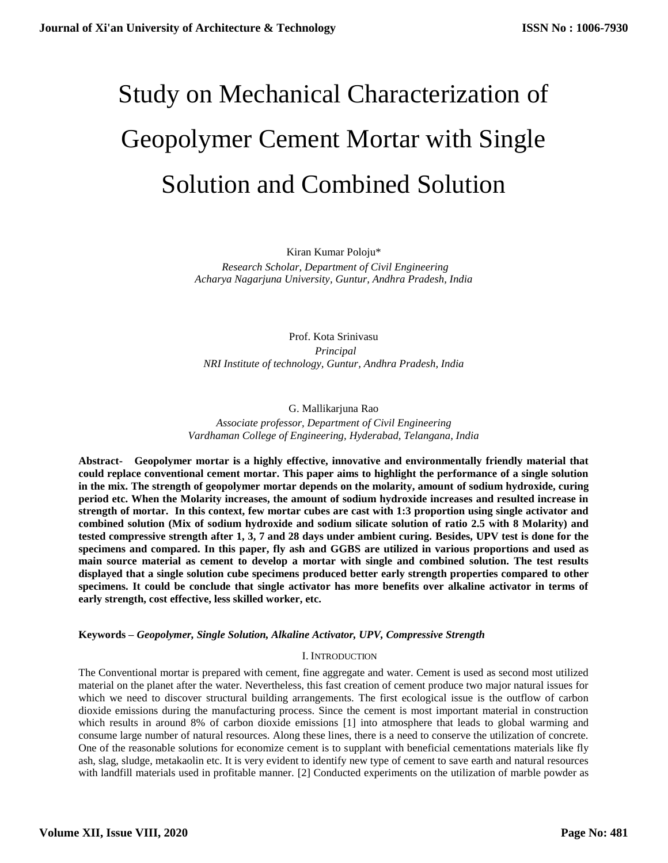# Study on Mechanical Characterization of Geopolymer Cement Mortar with Single Solution and Combined Solution

Kiran Kumar Poloju\* *Research Scholar, Department of Civil Engineering Acharya Nagarjuna University, Guntur, Andhra Pradesh, India*

Prof. Kota Srinivasu  *Principal NRI Institute of technology, Guntur, Andhra Pradesh, India*

G. Mallikarjuna Rao *Associate professor, Department of Civil Engineering Vardhaman College of Engineering, Hyderabad, Telangana, India*

**Abstract- Geopolymer mortar is a highly effective, innovative and environmentally friendly material that could replace conventional cement mortar. This paper aims to highlight the performance of a single solution in the mix. The strength of geopolymer mortar depends on the molarity, amount of sodium hydroxide, curing period etc. When the Molarity increases, the amount of sodium hydroxide increases and resulted increase in strength of mortar. In this context, few mortar cubes are cast with 1:3 proportion using single activator and combined solution (Mix of sodium hydroxide and sodium silicate solution of ratio 2.5 with 8 Molarity) and tested compressive strength after 1, 3, 7 and 28 days under ambient curing. Besides, UPV test is done for the specimens and compared. In this paper, fly ash and GGBS are utilized in various proportions and used as main source material as cement to develop a mortar with single and combined solution. The test results displayed that a single solution cube specimens produced better early strength properties compared to other specimens. It could be conclude that single activator has more benefits over alkaline activator in terms of early strength, cost effective, less skilled worker, etc.**

**Keywords –** *Geopolymer, Single Solution, Alkaline Activator, UPV, Compressive Strength*

# I. INTRODUCTION

The Conventional mortar is prepared with cement, fine aggregate and water. Cement is used as second most utilized material on the planet after the water. Nevertheless, this fast creation of cement produce two major natural issues for which we need to discover structural building arrangements. The first ecological issue is the outflow of carbon dioxide emissions during the manufacturing process. Since the cement is most important material in construction which results in around 8% of carbon dioxide emissions [1] into atmosphere that leads to global warming and consume large number of natural resources. Along these lines, there is a need to conserve the utilization of concrete. One of the reasonable solutions for economize cement is to supplant with beneficial cementations materials like fly ash, slag, sludge, metakaolin etc. It is very evident to identify new type of cement to save earth and natural resources with landfill materials used in profitable manner. [2] Conducted experiments on the utilization of marble powder as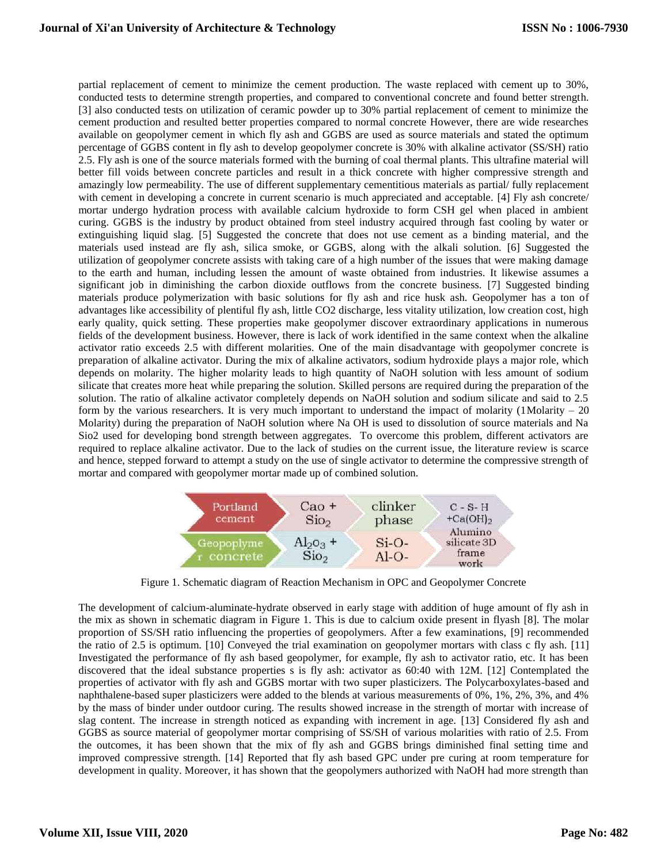partial replacement of cement to minimize the cement production. The waste replaced with cement up to 30%, conducted tests to determine strength properties, and compared to conventional concrete and found better strength. [3] also conducted tests on utilization of ceramic powder up to 30% partial replacement of cement to minimize the cement production and resulted better properties compared to normal concrete However, there are wide researches available on geopolymer cement in which fly ash and GGBS are used as source materials and stated the optimum percentage of GGBS content in fly ash to develop geopolymer concrete is 30% with alkaline activator (SS/SH) ratio 2.5. Fly ash is one of the source materials formed with the burning of coal thermal plants. This ultrafine material will better fill voids between concrete particles and result in a thick concrete with higher compressive strength and amazingly low permeability. The use of different supplementary cementitious materials as partial/ fully replacement with cement in developing a concrete in current scenario is much appreciated and acceptable. [4] Fly ash concrete/ mortar undergo hydration process with available calcium hydroxide to form CSH gel when placed in ambient curing. GGBS is the industry by product obtained from steel industry acquired through fast cooling by water or extinguishing liquid slag. [5] Suggested the concrete that does not use cement as a binding material, and the materials used instead are fly ash, silica smoke, or GGBS, along with the alkali solution. [6] Suggested the utilization of geopolymer concrete assists with taking care of a high number of the issues that were making damage to the earth and human, including lessen the amount of waste obtained from industries. It likewise assumes a significant job in diminishing the carbon dioxide outflows from the concrete business. [7] Suggested binding materials produce polymerization with basic solutions for fly ash and rice husk ash. Geopolymer has a ton of advantages like accessibility of plentiful fly ash, little CO2 discharge, less vitality utilization, low creation cost, high early quality, quick setting. These properties make geopolymer discover extraordinary applications in numerous fields of the development business. However, there is lack of work identified in the same context when the alkaline activator ratio exceeds 2.5 with different molarities. One of the main disadvantage with geopolymer concrete is preparation of alkaline activator. During the mix of alkaline activators, sodium hydroxide plays a major role, which depends on molarity. The higher molarity leads to high quantity of NaOH solution with less amount of sodium silicate that creates more heat while preparing the solution. Skilled persons are required during the preparation of the solution. The ratio of alkaline activator completely depends on NaOH solution and sodium silicate and said to 2.5 form by the various researchers. It is very much important to understand the impact of molarity  $(1 \text{Molarity} - 20$ Molarity) during the preparation of NaOH solution where Na OH is used to dissolution of source materials and Na Sio2 used for developing bond strength between aggregates. To overcome this problem, different activators are required to replace alkaline activator. Due to the lack of studies on the current issue, the literature review is scarce and hence, stepped forward to attempt a study on the use of single activator to determine the compressive strength of mortar and compared with geopolymer mortar made up of combined solution.



Figure 1. Schematic diagram of Reaction Mechanism in OPC and Geopolymer Concrete

The development of calcium-aluminate-hydrate observed in early stage with addition of huge amount of fly ash in the mix as shown in schematic diagram in Figure 1. This is due to calcium oxide present in flyash [8]. The molar proportion of SS/SH ratio influencing the properties of geopolymers. After a few examinations, [9] recommended the ratio of 2.5 is optimum. [10] Conveyed the trial examination on geopolymer mortars with class c fly ash. [11] Investigated the performance of fly ash based geopolymer, for example, fly ash to activator ratio, etc. It has been discovered that the ideal substance properties s is fly ash: activator as 60:40 with 12M. [12] Contemplated the properties of activator with fly ash and GGBS mortar with two super plasticizers. The Polycarboxylates-based and naphthalene-based super plasticizers were added to the blends at various measurements of 0%, 1%, 2%, 3%, and 4% by the mass of binder under outdoor curing. The results showed increase in the strength of mortar with increase of slag content. The increase in strength noticed as expanding with increment in age. [13] Considered fly ash and GGBS as source material of geopolymer mortar comprising of SS/SH of various molarities with ratio of 2.5. From the outcomes, it has been shown that the mix of fly ash and GGBS brings diminished final setting time and improved compressive strength. [14] Reported that fly ash based GPC under pre curing at room temperature for development in quality. Moreover, it has shown that the geopolymers authorized with NaOH had more strength than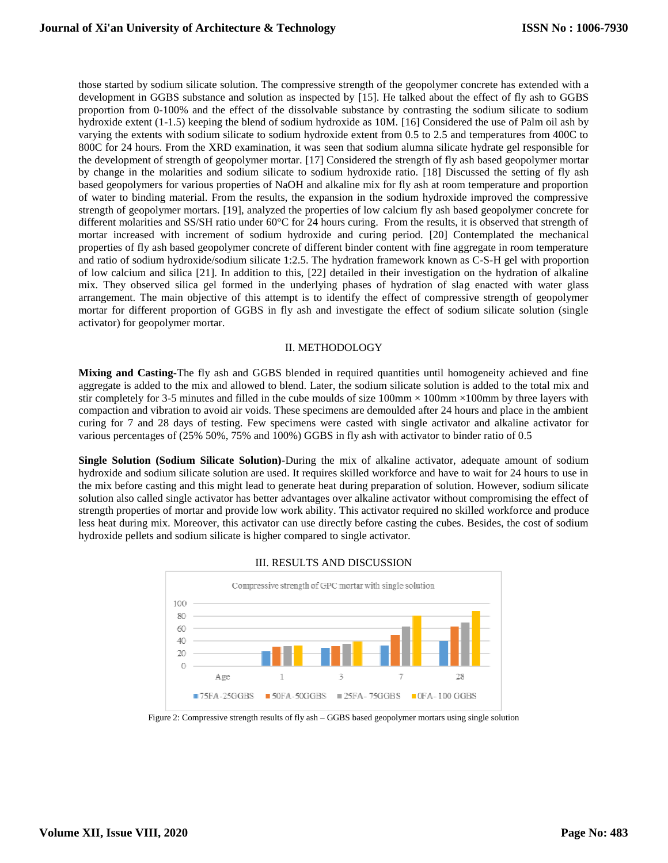those started by sodium silicate solution. The compressive strength of the geopolymer concrete has extended with a development in GGBS substance and solution as inspected by [15]. He talked about the effect of fly ash to GGBS proportion from 0-100% and the effect of the dissolvable substance by contrasting the sodium silicate to sodium hydroxide extent (1-1.5) keeping the blend of sodium hydroxide as 10M. [16] Considered the use of Palm oil ash by varying the extents with sodium silicate to sodium hydroxide extent from 0.5 to 2.5 and temperatures from 400C to 800C for 24 hours. From the XRD examination, it was seen that sodium alumna silicate hydrate gel responsible for the development of strength of geopolymer mortar. [17] Considered the strength of fly ash based geopolymer mortar by change in the molarities and sodium silicate to sodium hydroxide ratio. [18] Discussed the setting of fly ash based geopolymers for various properties of NaOH and alkaline mix for fly ash at room temperature and proportion of water to binding material. From the results, the expansion in the sodium hydroxide improved the compressive strength of geopolymer mortars. [19], analyzed the properties of low calcium fly ash based geopolymer concrete for different molarities and SS/SH ratio under 60°C for 24 hours curing. From the results, it is observed that strength of mortar increased with increment of sodium hydroxide and curing period. [20] Contemplated the mechanical properties of fly ash based geopolymer concrete of different binder content with fine aggregate in room temperature and ratio of sodium hydroxide/sodium silicate 1:2.5. The hydration framework known as C-S-H gel with proportion of low calcium and silica [21]. In addition to this, [22] detailed in their investigation on the hydration of alkaline mix. They observed silica gel formed in the underlying phases of hydration of slag enacted with water glass arrangement. The main objective of this attempt is to identify the effect of compressive strength of geopolymer mortar for different proportion of GGBS in fly ash and investigate the effect of sodium silicate solution (single activator) for geopolymer mortar.

## II. METHODOLOGY

**Mixing and Casting-**The fly ash and GGBS blended in required quantities until homogeneity achieved and fine aggregate is added to the mix and allowed to blend. Later, the sodium silicate solution is added to the total mix and stir completely for 3-5 minutes and filled in the cube moulds of size  $100 \text{mm} \times 100 \text{mm} \times 100 \text{mm}$  by three layers with compaction and vibration to avoid air voids. These specimens are demoulded after 24 hours and place in the ambient curing for 7 and 28 days of testing. Few specimens were casted with single activator and alkaline activator for various percentages of (25% 50%, 75% and 100%) GGBS in fly ash with activator to binder ratio of 0.5

**Single Solution (Sodium Silicate Solution)-**During the mix of alkaline activator, adequate amount of sodium hydroxide and sodium silicate solution are used. It requires skilled workforce and have to wait for 24 hours to use in the mix before casting and this might lead to generate heat during preparation of solution. However, sodium silicate solution also called single activator has better advantages over alkaline activator without compromising the effect of strength properties of mortar and provide low work ability. This activator required no skilled workforce and produce less heat during mix. Moreover, this activator can use directly before casting the cubes. Besides, the cost of sodium hydroxide pellets and sodium silicate is higher compared to single activator.



#### III. RESULTS AND DISCUSSION

Figure 2: Compressive strength results of fly ash – GGBS based geopolymer mortars using single solution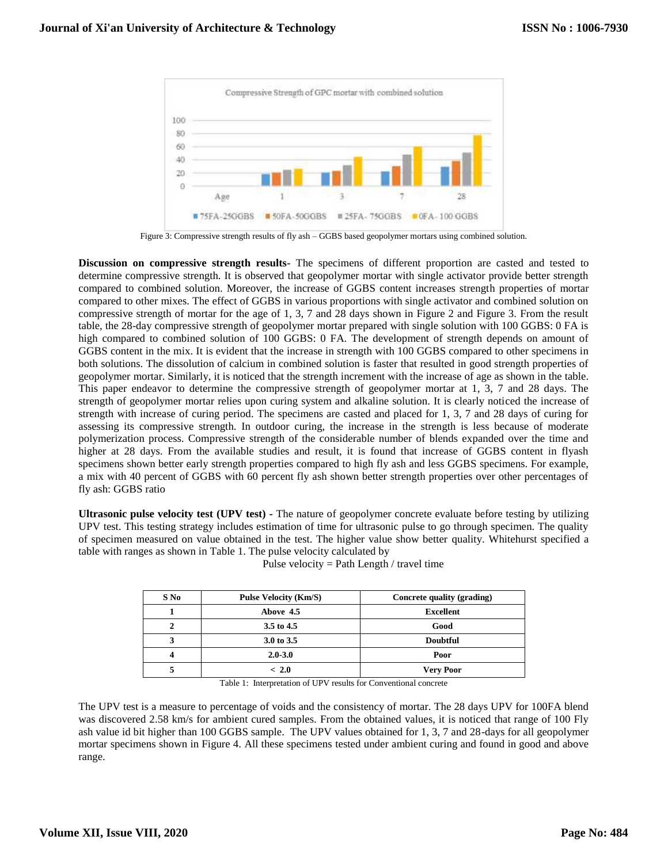

Figure 3: Compressive strength results of fly ash – GGBS based geopolymer mortars using combined solution.

**Discussion on compressive strength results-** The specimens of different proportion are casted and tested to determine compressive strength. It is observed that geopolymer mortar with single activator provide better strength compared to combined solution. Moreover, the increase of GGBS content increases strength properties of mortar compared to other mixes. The effect of GGBS in various proportions with single activator and combined solution on compressive strength of mortar for the age of 1, 3, 7 and 28 days shown in Figure 2 and Figure 3. From the result table, the 28-day compressive strength of geopolymer mortar prepared with single solution with 100 GGBS: 0 FA is high compared to combined solution of 100 GGBS: 0 FA. The development of strength depends on amount of GGBS content in the mix. It is evident that the increase in strength with 100 GGBS compared to other specimens in both solutions. The dissolution of calcium in combined solution is faster that resulted in good strength properties of geopolymer mortar. Similarly, it is noticed that the strength increment with the increase of age as shown in the table. This paper endeavor to determine the compressive strength of geopolymer mortar at 1, 3, 7 and 28 days. The strength of geopolymer mortar relies upon curing system and alkaline solution. It is clearly noticed the increase of strength with increase of curing period. The specimens are casted and placed for 1, 3, 7 and 28 days of curing for assessing its compressive strength. In outdoor curing, the increase in the strength is less because of moderate polymerization process. Compressive strength of the considerable number of blends expanded over the time and higher at 28 days. From the available studies and result, it is found that increase of GGBS content in flyash specimens shown better early strength properties compared to high fly ash and less GGBS specimens. For example, a mix with 40 percent of GGBS with 60 percent fly ash shown better strength properties over other percentages of fly ash: GGBS ratio

**Ultrasonic pulse velocity test (UPV test) -** The nature of geopolymer concrete evaluate before testing by utilizing UPV test. This testing strategy includes estimation of time for ultrasonic pulse to go through specimen. The quality of specimen measured on value obtained in the test. The higher value show better quality. Whitehurst specified a table with ranges as shown in Table 1. The pulse velocity calculated by

| $S$ No | <b>Pulse Velocity (Km/S)</b> | Concrete quality (grading) |
|--------|------------------------------|----------------------------|
|        | Above 4.5                    | <b>Excellent</b>           |
|        | 3.5 to 4.5                   | Good                       |
|        | 3.0 to 3.5                   | <b>Doubtful</b>            |
|        | $2.0 - 3.0$                  | Poor                       |
|        | ~<~2.0                       | <b>Very Poor</b>           |

Pulse velocity = Path Length / travel time

Table 1: Interpretation of UPV results for Conventional concrete

The UPV test is a measure to percentage of voids and the consistency of mortar. The 28 days UPV for 100FA blend was discovered 2.58 km/s for ambient cured samples. From the obtained values, it is noticed that range of 100 Fly ash value id bit higher than 100 GGBS sample. The UPV values obtained for 1, 3, 7 and 28-days for all geopolymer mortar specimens shown in Figure 4. All these specimens tested under ambient curing and found in good and above range.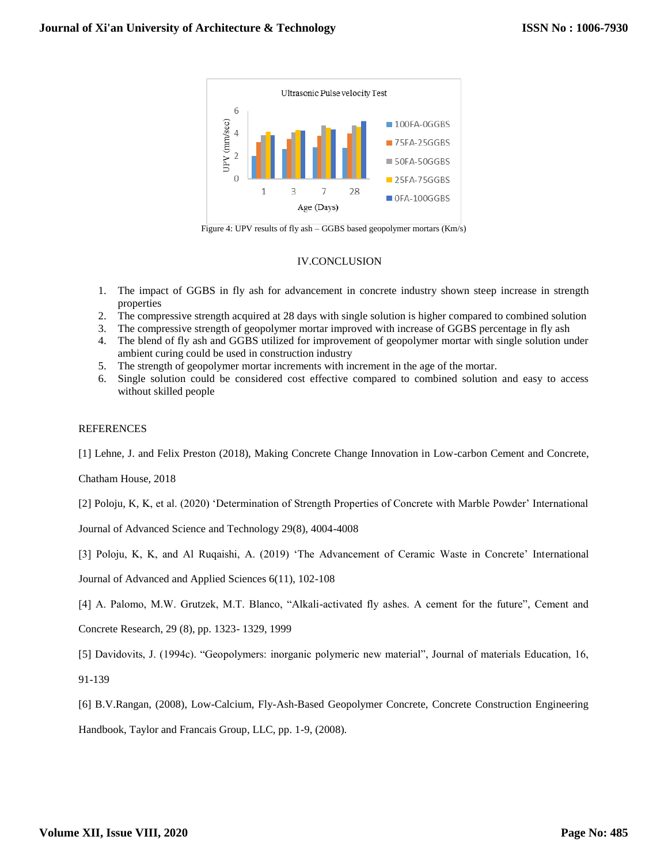

Figure 4: UPV results of fly ash – GGBS based geopolymer mortars (Km/s)

# IV.CONCLUSION

- 1. The impact of GGBS in fly ash for advancement in concrete industry shown steep increase in strength properties
- 2. The compressive strength acquired at 28 days with single solution is higher compared to combined solution
- 3. The compressive strength of geopolymer mortar improved with increase of GGBS percentage in fly ash
- 4. The blend of fly ash and GGBS utilized for improvement of geopolymer mortar with single solution under ambient curing could be used in construction industry
- 5. The strength of geopolymer mortar increments with increment in the age of the mortar.
- 6. Single solution could be considered cost effective compared to combined solution and easy to access without skilled people

## REFERENCES

[1] Lehne, J. and Felix Preston (2018), Making Concrete Change Innovation in Low-carbon Cement and Concrete,

Chatham House, 2018

[2] Poloju, K, K, et al. (2020) 'Determination of Strength Properties of Concrete with Marble Powder' International

Journal of Advanced Science and Technology 29(8), 4004-4008

[3] Poloju, K, K, and Al Ruqaishi, A. (2019) 'The Advancement of Ceramic Waste in Concrete' International

Journal of Advanced and Applied Sciences 6(11), 102-108

[4] A. Palomo, M.W. Grutzek, M.T. Blanco, "Alkali-activated fly ashes. A cement for the future", Cement and

Concrete Research, 29 (8), pp. 1323- 1329, 1999

[5] Davidovits, J. (1994c). "Geopolymers: inorganic polymeric new material", Journal of materials Education, 16,

91-139

[6] B.V.Rangan, (2008), Low-Calcium, Fly-Ash-Based Geopolymer Concrete, Concrete Construction Engineering

Handbook, Taylor and Francais Group, LLC, pp. 1-9, (2008).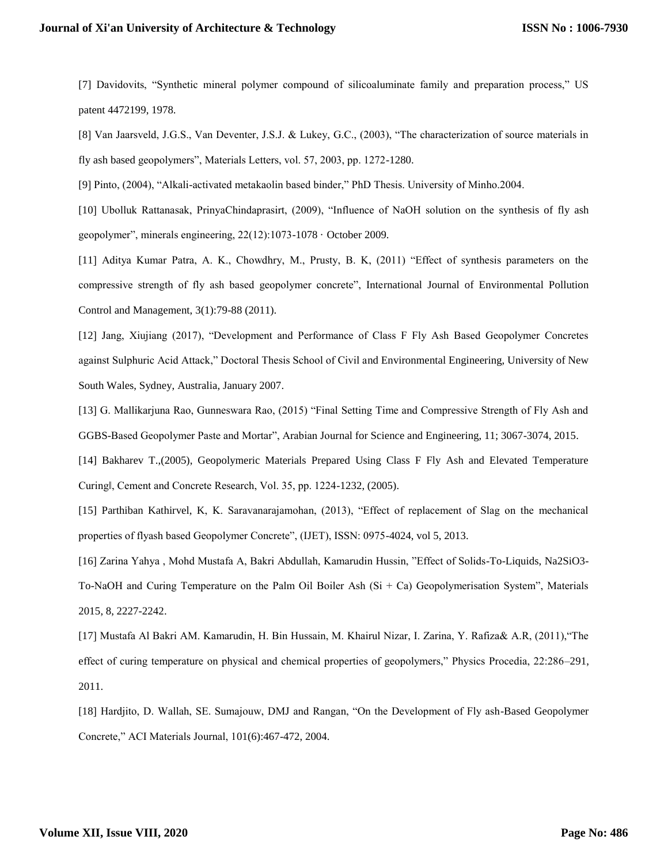[7] Davidovits, "Synthetic mineral polymer compound of silicoaluminate family and preparation process," US patent 4472199, 1978.

[8] Van Jaarsveld, J.G.S., Van Deventer, J.S.J. & Lukey, G.C., (2003), "The characterization of source materials in fly ash based geopolymers", Materials Letters, vol. 57, 2003, pp. 1272-1280.

[9] Pinto, (2004), "Alkali-activated metakaolin based binder," PhD Thesis. University of Minho.2004.

[10] Ubolluk Rattanasak, PrinyaChindaprasirt, (2009), "Influence of NaOH solution on the synthesis of fly ash geopolymer", minerals engineering, 22(12):1073-1078 · October 2009.

[11] Aditya Kumar Patra, A. K., Chowdhry, M., Prusty, B. K, (2011) "Effect of synthesis parameters on the compressive strength of fly ash based geopolymer concrete", International Journal of Environmental Pollution Control and Management, 3(1):79-88 (2011).

[12] Jang, Xiujiang (2017), "Development and Performance of Class F Fly Ash Based Geopolymer Concretes against Sulphuric Acid Attack," Doctoral Thesis School of Civil and Environmental Engineering, University of New South Wales, Sydney, Australia, January 2007.

[13] G. Mallikarjuna Rao, Gunneswara Rao, (2015) "Final Setting Time and Compressive Strength of Fly Ash and GGBS-Based Geopolymer Paste and Mortar", Arabian Journal for Science and Engineering, 11; 3067-3074, 2015.

[14] Bakharev T.,(2005), Geopolymeric Materials Prepared Using Class F Fly Ash and Elevated Temperature Curing‖, Cement and Concrete Research, Vol. 35, pp. 1224-1232, (2005).

[15] Parthiban Kathirvel, K, K. Saravanarajamohan, (2013), "Effect of replacement of Slag on the mechanical properties of flyash based Geopolymer Concrete", (IJET), ISSN: 0975-4024, vol 5, 2013.

[16] Zarina Yahya , Mohd Mustafa A, Bakri Abdullah, Kamarudin Hussin, "Effect of Solids-To-Liquids, Na2SiO3- To-NaOH and Curing Temperature on the Palm Oil Boiler Ash  $(Si + Ca)$  Geopolymerisation System", Materials 2015, 8, 2227-2242.

[17] Mustafa Al Bakri AM. Kamarudin, H. Bin Hussain, M. Khairul Nizar, I. Zarina, Y. Rafiza& A.R, (2011),"The effect of curing temperature on physical and chemical properties of geopolymers," Physics Procedia, 22:286–291, 2011.

[18] Hardjito, D. Wallah, SE. Sumajouw, DMJ and Rangan, "On the Development of Fly ash-Based Geopolymer Concrete," ACI Materials Journal, 101(6):467-472, 2004.